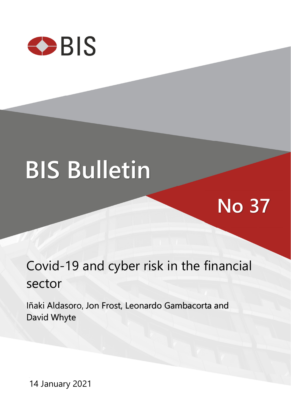

# **BIS Bulletin**

## Covid-19 and cyber risk in the financial sector

**No 37** 

Iñaki Aldasoro, Jon Frost, Leonardo Gambacorta and David Whyte

14 January 2021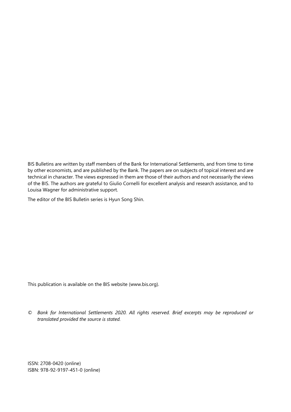BIS Bulletins are written by staff members of the Bank for International Settlements, and from time to time by other economists, and are published by the Bank. The papers are on subjects of topical interest and are technical in character. The views expressed in them are those of their authors and not necessarily the views of the BIS. The authors are grateful to Giulio Cornelli for excellent analysis and research assistance, and to Louisa Wagner for administrative support.

The editor of the BIS Bulletin series is Hyun Song Shin.

This publication is available on the BIS website [\(www.bis.org\)](http://www.bis.org/).

*© Bank for International Settlements 2020. All rights reserved. Brief excerpts may be reproduced or translated provided the source is stated.* 

ISSN: 2708-0420 (online) ISBN: 978-92-9197-451-0 (online)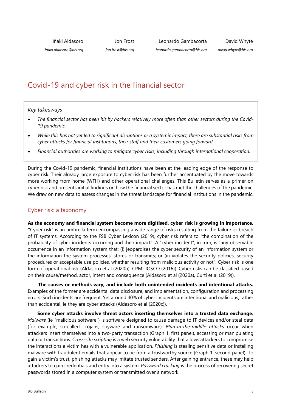Iñaki Aldasoro *inaki.aldasoro@bis.org*  Jon Frost

Leonardo Gambacorta

David Whyte

*jon.frost@bis.org leonardo.gambacorta@bis.org* *david.whyte@bis.org*

### Covid-19 and cyber risk in the financial sector

#### *Key takeaways*

- *The financial sector has been hit by hackers relatively more often than other sectors during the Covid-19 pandemic.*
- *While this has not yet led to significant disruptions or a systemic impact, there are substantial risks from cyber attacks for financial institutions, their staff and their customers going forward.*
- *Financial authorities are working to mitigate cyber risks, including through international cooperation.*

During the Covid-19 pandemic, financial institutions have been at the leading edge of the response to cyber risk. Their already large exposure to cyber risk has been further accentuated by the move towards more working from home (WFH) and other operational challenges. This Bulletin serves as a primer on cyber risk and presents initial findings on how the financial sector has met the challenges of the pandemic. We draw on new data to assess changes in the threat landscape for financial institutions in the pandemic.

#### Cyber risk: a taxonomy

**As the economy and financial system become more digitised, cyber risk is growing in importance. "**Cyber risk" is an umbrella term encompassing a wide range of risks resulting from the failure or breach of IT systems. According to the FSB Cyber Lexicon (2019), cyber risk refers to "the combination of the probability of cyber incidents occurring and their impact". A "cyber incident", in turn, is "any observable occurrence in an information system that: (i) jeopardises the cyber security of an information system or the information the system processes, stores or transmits; or (ii) violates the security policies, security procedures or acceptable use policies, whether resulting from malicious activity or not". Cyber risk is one form of operational risk (Aldasoro et al (2020b), CPMI-IOSCO (2016)). Cyber risks can be classified based on their cause/method, actor, intent and consequence (Aldasoro et al (2020a), Curti et al (2019)).

**The causes or methods vary, and include both unintended incidents and intentional attacks.**  Examples of the former are accidental data disclosure, and implementation, configuration and processing errors. Such incidents are frequent. Yet around 40% of cyber incidents are intentional and malicious, rather than accidental, ie they are cyber attacks (Aldasoro et al (2020c)).

**Some cyber attacks involve threat actors inserting themselves into a trusted data exchange.** *Malware* (ie "malicious software") is software designed to cause damage to IT devices and/or steal data (for example, so-called Trojans, spyware and ransomware). *Man-in-the-middle attacks* occur when attackers insert themselves into a two-party transaction (Graph 1, first panel), accessing or manipulating data or transactions. *Cross-site scripting* is a web security vulnerability that allows attackers to compromise the interactions a victim has with a vulnerable application. *Phishing* is stealing sensitive data or installing malware with fraudulent emails that appear to be from a trustworthy source (Graph 1, second panel). To gain a victim's trust, phishing attacks may imitate trusted senders. After gaining entrance, these may help attackers to gain credentials and entry into a system. *Password cracking* is the process of recovering secret passwords stored in a computer system or transmitted over a network.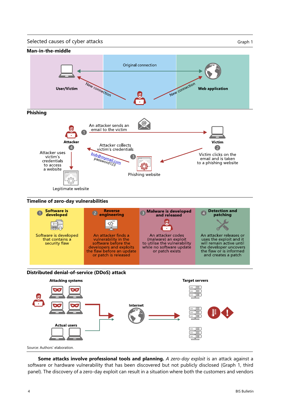Selected causes of cyber attacks Graph 1



#### **Timeline of zero-day vulnerabilities**





**Some attacks involve professional tools and planning.** *A zero-day exploit* is an attack against a software or hardware vulnerability that has been discovered but not publicly disclosed (Graph 1, third panel). The discovery of a zero-day exploit can result in a situation where both the customers and vendors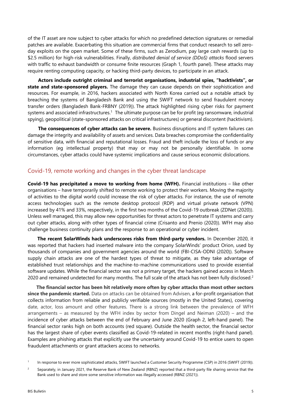of the IT asset are now subject to cyber attacks for which no predefined detection signatures or remedial patches are available. Exacerbating this situation are commercial firms that conduct research to sell zeroday exploits on the open market. Some of these firms, such as Zerodium, pay large cash rewards (up to \$2.5 million) for high-risk vulnerabilities. Finally, *distributed denial of service (DDoS) attacks* flood servers with traffic to exhaust bandwidth or consume finite resources (Graph 1, fourth panel). These attacks may require renting computing capacity, or hacking third-party devices, to participate in an attack.

**Actors include outright criminal and terrorist organisations, industrial spies, "hacktivists", or state and state-sponsored players.** The damage they can cause depends on their sophistication and resources. For example, in 2016, hackers associated with North Korea carried out a notable attack by breaching the systems of Bangladesh Bank and using the SWIFT network to send fraudulent money transfer orders (Bangladesh Bank-FRBNY (2019)). The attack highlighted rising cyber risks for payment systems and associated infrastructures.<sup>1</sup> The ultimate purpose can be for profit (eg ransomware, industrial spying), geopolitical (state-sponsored attacks on critical infrastructures) or general discontent (hacktivism).

**The consequences of cyber attacks can be severe.** Business disruptions and IT system failures can damage the integrity and availability of assets and services. Data breaches compromise the confidentiality of sensitive data, with financial and reputational losses. Fraud and theft include the loss of funds or any information (eg intellectual property) that may or may not be personally identifiable. In some circumstances, cyber attacks could have systemic implications and cause serious economic dislocations.

#### Covid-19, remote working and changes in the cyber threat landscape

**Covid-19 has precipitated a move to working from home (WFH).** Financial institutions – like other organisations – have temporarily shifted to remote working to protect their workers. Moving the majority of activities to the digital world could increase the risk of cyber attacks. For instance, the use of remote access technologies such as the remote desktop protocol (RDP) and virtual private network (VPN) increased by 41% and 33%, respectively, in the first two months of the Covid-19 outbreak (ZDNet (2020)). Unless well managed, this may allow new opportunities for threat actors to penetrate IT systems and carry out cyber attacks, along with other types of financial crime (Crisanto and Prenio (2020)). WFH may also challenge business continuity plans and the response to an operational or cyber incident.

**The recent SolarWinds hack underscores risks from third-party vendors.** In December 2020, it was reported that hackers had inserted malware into the company SolarWinds' product Orion, used by thousands of companies and government agencies around the world (FBI-CISA-ODNI (2020)). Software supply chain attacks are one of the hardest types of threat to mitigate, as they take advantage of established trust relationships and the machine-to-machine communications used to provide essential software updates. While the financial sector was not a primary target, the hackers gained access in March 2020 and remained undetected for many months. The full scale of the attack has not been fully disclosed.<sup>2</sup>

**The financial sector has been hit relatively more often by cyber attacks than most other sectors since the pandemic started.** Data on attacks can be obtained from Advisen, a for-profit organisation that collects information from reliable and publicly verifiable sources (mostly in the United States), covering date, actor, loss amount and other features. There is a strong link between the prevalence of WFH arrangements – as measured by the WFH index by sector from Dingel and Neiman (2020) – and the incidence of cyber attacks between the end of February and June 2020 (Graph 2, left-hand panel). The financial sector ranks high on both accounts (red square). Outside the health sector, the financial sector has the largest share of cyber events classified as Covid-19-related in recent months (right-hand panel). Examples are phishing attacks that explicitly use the uncertainty around Covid-19 to entice users to open fraudulent attachments or grant attackers access to networks.

<span id="page-4-1"></span><sup>1</sup> In response to ever more sophisticated attacks, SWIFT launched a Customer Security Programme (CSP) in 2016 (SWIFT (2019)).

<span id="page-4-0"></span> $\overline{2}$  Separately, in January 2021, the Reserve Bank of New Zealand (RBNZ) reported that a third-party file sharing service that the Bank used to share and store some sensitive information was illegally accessed (RBNZ (2021)).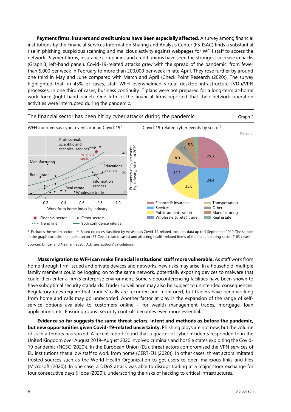**Payment firms, insurers and credit unions have been especially affected.** A survey among financial institutions by the Financial Services Information Sharing and Analysis Center (FS-ISAC) finds a substantial rise in phishing, suspicious scanning and malicious activity against webpages for WFH staff to access the network. Payment firms, insurance companies and credit unions have seen the strongest increase in hacks (Graph 3, left-hand panel). Covid-19-related attacks grew with the spread of the pandemic, from fewer than 5,000 per week in February to more than 200,000 per week in late April. They rose further by around one third in May and June compared with March and April (Check Point Research (2020)). The survey highlighted that, in 45% of cases, staff WFH overwhelmed virtual desktop infrastructure (VDI)/VPN processes. In one third of cases, business continuity IT plans were not prepared for a long-term at-home work force (right-hand panel). One fifth of the financial firms reported that their network operation activities were interrupted during the pandemic.



 $1$  Excludes the health sector.  $2$  Based on cases classified by Advisen as Covid-19-related. Includes data up to 9 September 2020. The sample in the graph excludes the health sector (57 Covid-related cases) and affecting health-related items of the manufacturing sector (163 cases).

Sources: Dingel and Neiman (2020); Advisen; authors' calculations.

**Mass migration to WFH can make financial institutions' staff more vulnerable.** As staff work from home through firm-issued and private devices and networks, new risks may arise. In a household, multiple family members could be logging on to the same network, potentially exposing devices to malware that could then enter a firm's enterprise environment. Some videoconferencing facilities have been shown to have suboptimal security standards. Trader surveillance may also be subject to unintended consequences. Regulatory rules require that traders' calls are recorded and monitored, but traders have been working from home and calls may go unrecorded. Another factor at play is the expansion of the range of selfservice options available to customers online – for wealth management trades, mortgage, loan applications, etc. Ensuring robust security controls becomes even more essential.

**Evidence so far suggests the same threat actors, intent and methods as before the pandemic, but new opportunities given Covid-19-related uncertainty.** Phishing ploys are not new, but the volume of such attempts has spiked. A recent report found that a quarter of cyber incidents responded to in the United Kingdom over August 2019–August 2020 involved criminals and hostile states exploiting the Covid-19 pandemic (NCSC (2020)). In the European Union (EU), threat actors compromised the VPN services of EU institutions that allow staff to work from home (CERT-EU (2020)). In other cases, threat actors imitated trusted sources such as the World Health Organization to get users to open malicious links and files (Microsoft (2020)). In one case, a DDoS attack was able to disrupt trading at a major stock exchange for four consecutive days (Hope (2020)), underscoring the risks of hacking to critical infrastructures.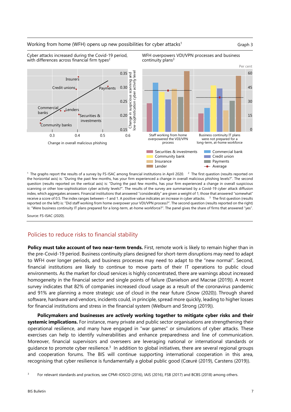#### Working from home (WFH) opens up new possibilities for cyber attacks<sup>1</sup> Graph 3

Cyber attacks increased during the Covid-19 period, with differences across financial firm types<sup>2</sup>

> investments Securities &



WFH overpowers VDI/VPN processes and business

Payments  $0.35 \frac{2}{6} \frac{1}{6}$ 0.30 0.25 0.35 Insurers<br>
Credit unions<br>
Credit unions<br>
Payments 0.30 and<br>
ercial<br>
Comparison investments<br>
The Securities & 0.20 and<br>
investments<br>
Comparison investments<br>
Comparison of the Canadian<br>
Comparison of the Canadian<br>
Compar

0.20

<sup>1</sup> The graphs report the results of a survey by FS-ISAC among financial institutions in April 2020. <sup>2</sup> The first question (results reported on the horizontal axis) is: "During the past few months, has your firm experienced a change in overall malicious phishing levels?". The second question (results reported on the vertical axis) is: "During the past few months, has your firm experienced a change in overall suspicious scanning or other low-sophistication cyber activity levels?". The results of the survey are summarised by a Covid-19 cyber attack diffusion index, which aggregates answers. Financial institutions that answered "considerably" are given a weight of 1; those that answered "somewhat" receive a score of 0.5. The index ranges between -1 and 1. A positive value indicates an increase in cyber attacks. <sup>3</sup> The first question (results reported on the left) is: "Did staff working from home overpower your VDI/VPN process?". The second question (results reported on the right) is: "Were business continuity IT plans prepared for a long-term, at-home workforce?". The panel gives the share of firms that answered "yes".

Source: FS-ISAC (2020).

banks Commercial

Community banks

Credit unions

Insurers

Lenders

Change in overall malicious phishing

#### Policies to reduce risks to financial stability

**Policy must take account of two near-term trends.** First, remote work is likely to remain higher than in the pre-Covid-19 period. Business continuity plans designed for short-term disruptions may need to adapt to WFH over longer periods, and business processes may need to adapt to the "new normal". Second, financial institutions are likely to continue to move parts of their IT operations to public cloud environments. As the market for cloud services is highly concentrated, there are warnings about increased homogeneity in the financial sector and single points of failure (Danielson and Macrae (2019)). A recent survey indicates that 82% of companies increased cloud usage as a result of the coronavirus pandemic and 91% are planning a more strategic use of cloud in the near future (Snow (2020)). Through shared software, hardware and vendors, incidents could, in principle, spread more quickly, leading to higher losses for financial institutions and stress in the financial system (Welburn and Strong (2019)).

**Policymakers and businesses are actively working together to mitigate cyber risks and their systemic implications.** For instance, many private and public sector organisations are strengthening their operational resilience, and many have engaged in "war games" or simulations of cyber attacks. These exercises can help to identify vulnerabilities and enhance preparedness and line of communication. Moreover, financial supervisors and overseers are leveraging national or international standards or guidance to promote cyber resilience.<sup>[3](#page-6-0)</sup> In addition to global initiatives, there are several regional groups and cooperation forums. The BIS will continue supporting international cooperation in this area, recognising that cyber resilience is fundamentally a global public good (Cœuré (2019), Carstens (2019)).

<span id="page-6-0"></span><sup>3</sup> For relevant standards and practices, see CPMI-IOSCO (2016), IAIS (2016), FSB (2017) and BCBS (2018) among others.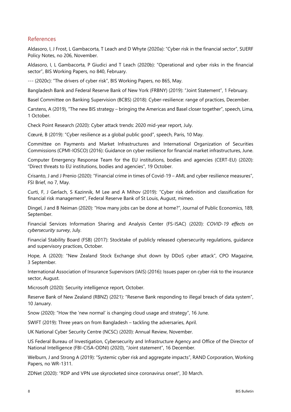#### References

Aldasoro, I, J Frost, L Gambacorta, T Leach and D Whyte (2020a): "Cyber risk in the financial sector", SUERF Policy Notes, no 206, November.

Aldasoro, I, L Gambacorta, P Giudici and T Leach (2020b): "Operational and cyber risks in the financial sector", BIS Working Papers, no 840, February.

--- (2020c): "The drivers of cyber risk", BIS Working Papers, no 865, May.

Bangladesh Bank and Federal Reserve Bank of New York (FRBNY) (2019): "Joint Statement", 1 February.

Basel Committee on Banking Supervision (BCBS) (2018): Cyber-resilience: range of practices, December.

Carstens, A (2019), "The new BIS strategy – bringing the Americas and Basel closer together", speech, Lima, 1 October.

Check Point Research (2020): Cyber attack trends: 2020 mid-year report, July.

Cœuré, B (2019): "Cyber resilience as a global public good", speech, Paris, 10 May.

Committee on Payments and Market Infrastructures and International Organization of Securities Commissions (CPMI-IOSCO) (2016): Guidance on cyber resilience for financial market infrastructures, June.

Computer Emergency Response Team for the EU institutions, bodies and agencies (CERT-EU) (2020): "Direct threats to EU institutions, bodies and agencies", 19 October.

Crisanto, J and J Prenio (2020): "Financial crime in times of Covid-19 – AML and cyber resilience measures", FSI Brief, no 7, May.

Curti, F, J Gerlach, S Kazinnik, M Lee and A Mihov (2019): "Cyber risk definition and classification for financial risk management", Federal Reserve Bank of St Louis, August, mimeo.

Dingel, J and B Neiman (2020): "How many jobs can be done at home?", Journal of Public Economics, 189, September.

Financial Services Information Sharing and Analysis Center (FS-ISAC) (2020): *COVID-19 effects on cybersecurity survey*, July.

Financial Stability Board (FSB) (2017): Stocktake of publicly released cybersecurity regulations, guidance and supervisory practices, October.

Hope, A (2020): "New Zealand Stock Exchange shut down by DDoS cyber attack", CPO Magazine, 3 September.

International Association of Insurance Supervisors (IAIS) (2016): Issues paper on cyber risk to the insurance sector, August.

Microsoft (2020): Security intelligence report, October.

Reserve Bank of New Zealand (RBNZ) (2021): "Reserve Bank responding to illegal breach of data system", 10 January.

Snow (2020): ["How the 'new normal' is changing cloud usage and strategy"](https://www.snowsoftware.com/blog/how-new-normal-changing-cloud-usage-and-strategy), 16 June.

SWIFT (2019): Three years on from Bangladesh – tackling the adversaries, April.

UK National Cyber Security Centre (NCSC) (2020): Annual Review, November.

US Federal Bureau of Investigation, Cybersecurity and Infrastructure Agency and Office of the Director of National Intelligence (FBI-CISA-ODNI) (2020), "Joint statement", 16 December.

Welburn, J and Strong A (2019): "Systemic cyber risk and aggregate impacts", RAND Corporation, Working Papers, no WR-1311.

ZDNet (2020): "RDP and VPN use skyrocketed since coronavirus onset", 30 March.